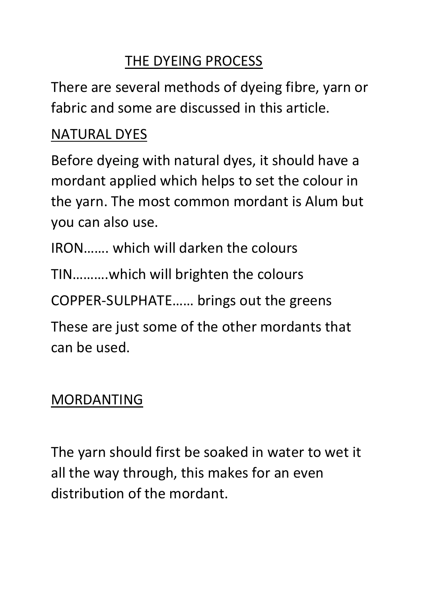# THE DYEING PROCESS

There are several methods of dyeing fibre, yarn or fabric and some are discussed in this article.

# NATURAL DYES

Before dyeing with natural dyes, it should have a mordant applied which helps to set the colour in the yarn. The most common mordant is Alum but you can also use.

IRON……. which will darken the colours

TIN……….which will brighten the colours

COPPER-SULPHATE…… brings out the greens

These are just some of the other mordants that can be used.

# MORDANTING

The yarn should first be soaked in water to wet it all the way through, this makes for an even distribution of the mordant.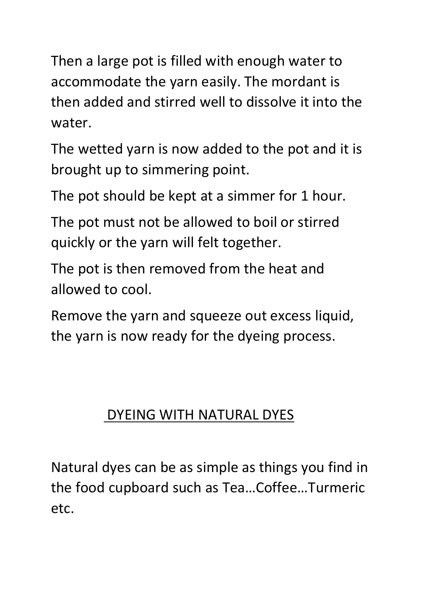Then a large pot is filled with enough water to accommodate the yarn easily. The mordant is then added and stirred well to dissolve it into the water.

The wetted yarn is now added to the pot and it is brought up to simmering point.

The pot should be kept at a simmer for 1 hour.

The pot must not be allowed to boil or stirred quickly or the yarn will felt together.

The pot is then removed from the heat and allowed to cool.

Remove the yarn and squeeze out excess liquid, the yarn is now ready for the dyeing process.

#### DYEING WITH NATURAL DYES

Natural dyes can be as simple as things you find in the food cupboard such as Tea…Coffee…Turmeric etc.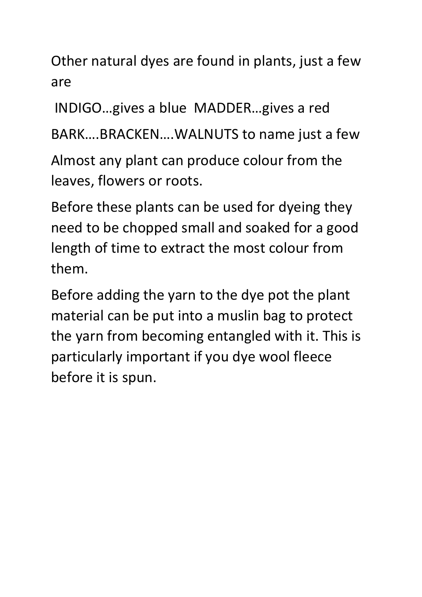Other natural dyes are found in plants, just a few are

INDIGO…gives a blue MADDER…gives a red

BARK….BRACKEN….WALNUTS to name just a few

Almost any plant can produce colour from the leaves, flowers or roots.

Before these plants can be used for dyeing they need to be chopped small and soaked for a good length of time to extract the most colour from them.

Before adding the yarn to the dye pot the plant material can be put into a muslin bag to protect the yarn from becoming entangled with it. This is particularly important if you dye wool fleece before it is spun.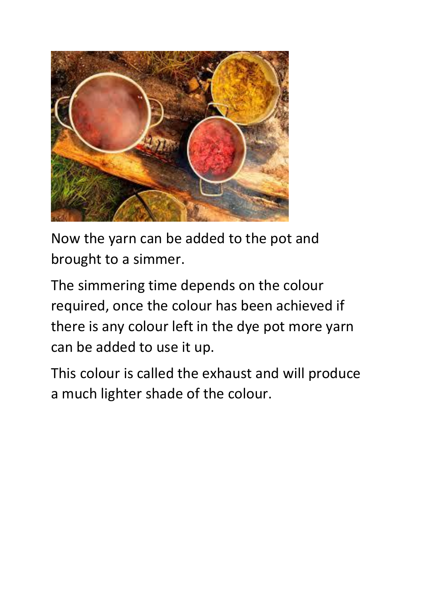

Now the yarn can be added to the pot and brought to a simmer.

The simmering time depends on the colour required, once the colour has been achieved if there is any colour left in the dye pot more yarn can be added to use it up.

This colour is called the exhaust and will produce a much lighter shade of the colour.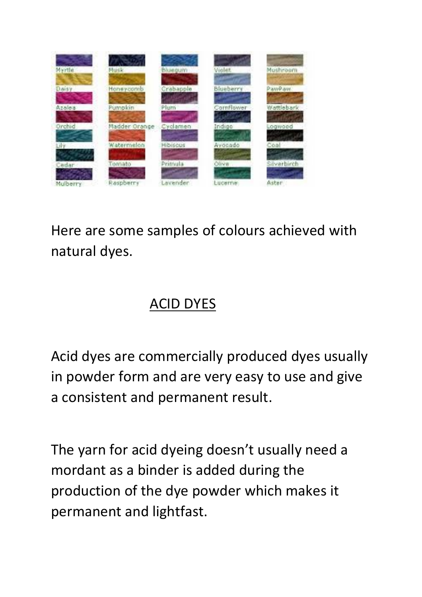

Here are some samples of colours achieved with natural dyes.

# ACID DYES

Acid dyes are commercially produced dyes usually in powder form and are very easy to use and give a consistent and permanent result.

The yarn for acid dyeing doesn't usually need a mordant as a binder is added during the production of the dye powder which makes it permanent and lightfast.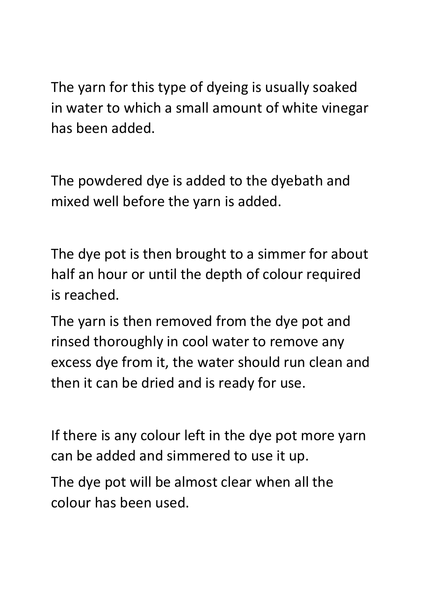The yarn for this type of dyeing is usually soaked in water to which a small amount of white vinegar has been added.

The powdered dye is added to the dyebath and mixed well before the yarn is added.

The dye pot is then brought to a simmer for about half an hour or until the depth of colour required is reached.

The yarn is then removed from the dye pot and rinsed thoroughly in cool water to remove any excess dye from it, the water should run clean and then it can be dried and is ready for use.

If there is any colour left in the dye pot more yarn can be added and simmered to use it up.

The dye pot will be almost clear when all the colour has been used.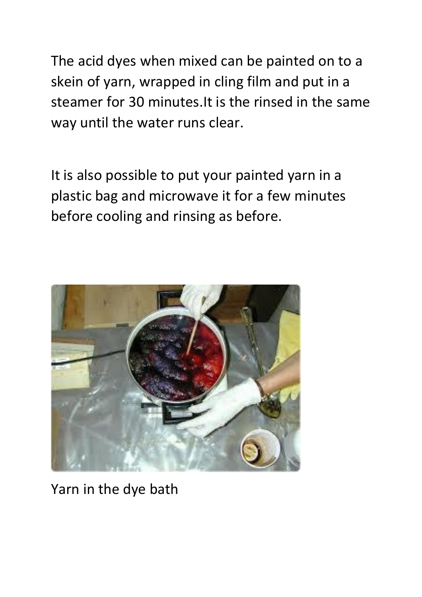The acid dyes when mixed can be painted on to a skein of yarn, wrapped in cling film and put in a steamer for 30 minutes.It is the rinsed in the same way until the water runs clear.

It is also possible to put your painted yarn in a plastic bag and microwave it for a few minutes before cooling and rinsing as before.



Yarn in the dye bath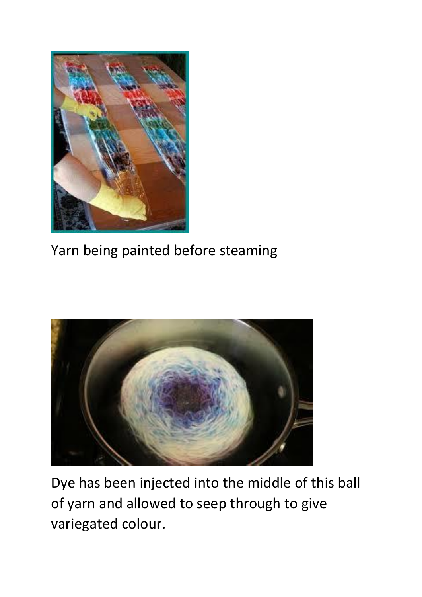

Yarn being painted before steaming



Dye has been injected into the middle of this ball of yarn and allowed to seep through to give variegated colour.